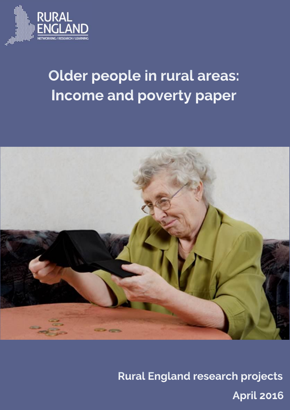

# Older people in rural areas: **Income and poverty paper**



**Rural England research projects April 2016**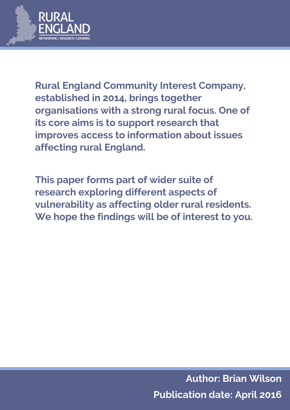

**Rural England Community Interest Company, established in 2014, brings together organisations with a strong rural focus. One of its core aims is to support research that improves access to information about issues affecting rural England.**

**This paper forms part of wider suite of research exploring different aspects of vulnerability as affecting older rural residents. We hope the findings will be of interest to you.**

> **Author: Brian Wilson Publication date: April 2016**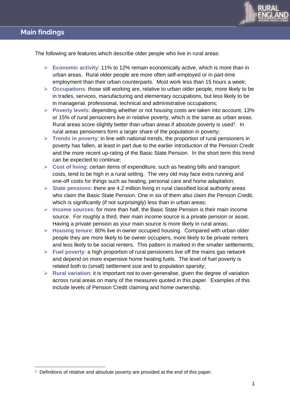

The following are features which describe older people who live in rural areas:

- **Economic activity**: 11% to 12% remain economically active, which is more than in urban areas. Rural older people are more often self-employed or in part-time employment than their urban counterparts. Most work less than 15 hours a week;
- **Occupations**: those still working are, relative to urban older people, more likely to be in trades, services, manufacturing and elementary occupations, but less likely to be in managerial, professional, technical and administrative occupations;
- **Poverty levels**: depending whether or not housing costs are taken into account, 13% or 15% of rural pensioners live in *relative* poverty, which is the same as urban areas. Rural areas score slightly better than urban areas if absolute poverty is used<sup>1</sup>. In rural areas pensioners form a larger share of the population in poverty;
- **Trends in poverty**: in line with national trends, the proportion of rural pensioners in poverty has fallen, at least in part due to the earlier introduction of the Pension Credit and the more recent up-rating of the Basic State Pension. In the short term this trend can be expected to continue;
- **Cost of living**: certain items of expenditure, such as heating bills and transport costs, tend to be high in a rural setting. The very old may face extra running and one-off costs for things such as heating, personal care and home adaptation;
- **State pensions**: there are 4.2 million living in rural classified local authority areas who claim the Basic State Pension. One in six of them also claim the Pension Credit, which is significantly (if not surprisingly) less than in urban areas;
- **Income sources**: for more than half, the Basic State Pension is their main income source. For roughly a third, their main income source is a private pension or asset. Having a private pension as your main source is more likely in rural areas;
- **Housing tenure**: 80% live in owner occupied housing. Compared with urban older people they are more likely to be owner occupiers, more likely to be private renters and less likely to be social renters. This pattern is marked in the smaller settlements;
- **Fuel poverty**: a high proportion of rural pensioners live off the mains gas network and depend on more expensive home heating fuels. The level of fuel poverty is related both to (small) settlement size and to population sparsity;
- **Rural variation**: it is important not to over-generalise, given the degree of variation across rural areas on many of the measures quoted in this paper. Examples of this include levels of Pension Credit claiming and home ownership.

<sup>1</sup> Definitions of relative and absolute poverty are provided at the end of this paper.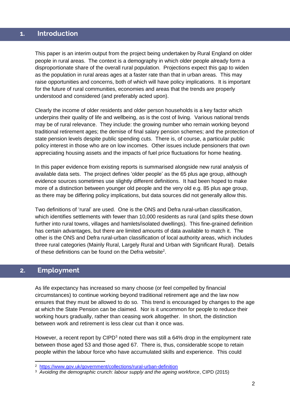#### **1. Introduction 1. Introduction**

This paper is an interim output from the project being undertaken by Rural England on older people in rural areas. The context is a demography in which older people already form a disproportionate share of the overall rural population. Projections expect this gap to widen as the population in rural areas ages at a faster rate than that in urban areas. This may raise opportunities and concerns, both of which will have policy implications. It is important for the future of rural communities, economies and areas that the trends are properly understood and considered (and preferably acted upon).

Clearly the income of older residents and older person households is a key factor which underpins their quality of life and wellbeing, as is the cost of living. Various national trends may be of rural relevance. They include: the growing number who remain working beyond traditional retirement ages; the demise of final salary pension schemes; and the protection of state pension levels despite public spending cuts. There is, of course, a particular public policy interest in those who are on low incomes. Other issues include pensioners that own appreciating housing assets and the impacts of fuel price fluctuations for home heating.

In this paper evidence from existing reports is summarised alongside new rural analysis of available data sets. The project defines 'older people' as the 65 plus age group, although evidence sources sometimes use slightly different definitions. It had been hoped to make more of a distinction between younger old people and the very old e.g. 85 plus age group, as there may be differing policy implications, but data sources did not generally allow this.

Two definitions of 'rural' are used. One is the ONS and Defra rural-urban classification, which identifies settlements with fewer than 10,000 residents as rural (and splits these down further into rural towns, villages and hamlets/isolated dwellings). This fine-grained definition has certain advantages, but there are limited amounts of data available to match it. The other is the ONS and Defra rural-urban classification of local authority areas, which includes three rural categories (Mainly Rural, Largely Rural and Urban with Significant Rural). Details of these definitions can be found on the Defra website<sup>2</sup>.

# **2. Employment 2. Employment**

-

As life expectancy has increased so many choose (or feel compelled by financial circumstances) to continue working beyond traditional retirement age and the law now ensures that they must be allowed to do so. This trend is encouraged by changes to the age at which the State Pension can be claimed. Nor is it uncommon for people to reduce their working hours gradually, rather than ceasing work altogether. In short, the distinction between work and retirement is less clear cut than it once was.

However, a recent report by CIPD<sup>3</sup> noted there was still a 64% drop in the employment rate between those aged 53 and those aged 67. There is, thus, considerable scope to retain people within the labour force who have accumulated skills and experience. This could

<sup>2</sup> <https://www.gov.uk/government/collections/rural-urban-definition>

<sup>3</sup> *Avoiding the demographic crunch: labour supply and the ageing workforce*, CIPD (2015)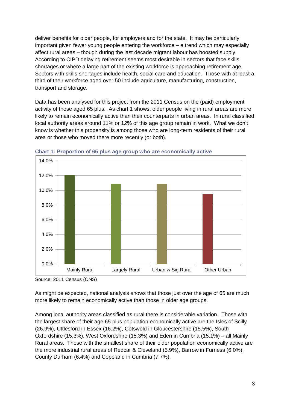deliver benefits for older people, for employers and for the state. It may be particularly important given fewer young people entering the workforce – a trend which may especially affect rural areas – though during the last decade migrant labour has boosted supply. According to CIPD delaying retirement seems most desirable in sectors that face skills shortages or where a large part of the existing workforce is approaching retirement age. Sectors with skills shortages include health, social care and education. Those with at least a third of their workforce aged over 50 include agriculture, manufacturing, construction, transport and storage.

Data has been analysed for this project from the 2011 Census on the (paid) employment activity of those aged 65 plus. As chart 1 shows, older people living in rural areas are more likely to remain economically active than their counterparts in urban areas. In rural classified local authority areas around 11% or 12% of this age group remain in work. What we don't know is whether this propensity is among those who are long-term residents of their rural area or those who moved there more recently (or both).



**Chart 1: Proportion of 65 plus age group who are economically active**

Source: 2011 Census (ONS)

As might be expected, national analysis shows that those just over the age of 65 are much more likely to remain economically active than those in older age groups.

Among local authority areas classified as rural there is considerable variation. Those with the largest share of their age 65 plus population economically active are the Isles of Scilly (26.9%), Uttlesford in Essex (16.2%), Cotswold in Gloucestershire (15.5%), South Oxfordshire (15.3%), West Oxfordshire (15.3%) and Eden in Cumbria (15.1%) – all Mainly Rural areas. Those with the smallest share of their older population economically active are the more industrial rural areas of Redcar & Cleveland (5.9%), Barrow in Furness (6.0%), County Durham (6.4%) and Copeland in Cumbria (7.7%).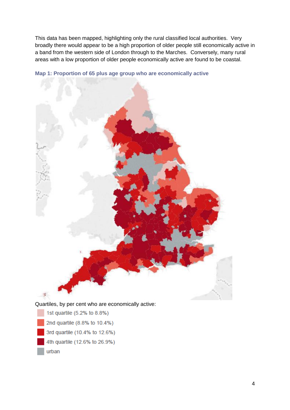This data has been mapped, highlighting only the rural classified local authorities. Very broadly there would appear to be a high proportion of older people still economically active in a band from the western side of London through to the Marches. Conversely, many rural areas with a low proportion of older people economically active are found to be coastal.



**Map 1: Proportion of 65 plus age group who are economically active**

- 1st quartile (5.2% to 8.8%) 2nd quartile (8.8% to 10.4%) 3rd quartile (10.4% to 12.6%)
- 4th quartile (12.6% to 26.9%)
- urban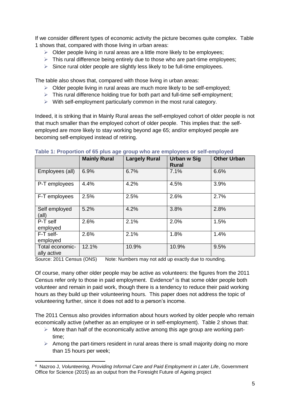If we consider different types of economic activity the picture becomes quite complex. Table 1 shows that, compared with those living in urban areas:

- $\triangleright$  Older people living in rural areas are a little more likely to be employees:
- $\triangleright$  This rural difference being entirely due to those who are part-time employees;
- $\triangleright$  Since rural older people are slightly less likely to be full-time employees.

The table also shows that, compared with those living in urban areas:

- $\triangleright$  Older people living in rural areas are much more likely to be self-employed;
- $\triangleright$  This rural difference holding true for both part and full-time self-employment;
- $\triangleright$  With self-employment particularly common in the most rural category.

Indeed, it is striking that in Mainly Rural areas the self-employed cohort of older people is not that much smaller than the employed cohort of older people. This implies that: the selfemployed are more likely to stay working beyond age 65; and/or employed people are becoming self-employed instead of retiring.

|                                | <b>Mainly Rural</b> | <b>Largely Rural</b> | Urban w Sig  | <b>Other Urban</b> |
|--------------------------------|---------------------|----------------------|--------------|--------------------|
|                                |                     |                      | <b>Rural</b> |                    |
| Employees (all)                | 6.9%                | 6.7%                 | 7.1%         | 6.6%               |
| P-T employees                  | 4.4%                | 4.2%                 | 4.5%         | 3.9%               |
| F-T employees                  | 2.5%                | 2.5%                 | 2.6%         | 2.7%               |
| Self employed<br>(all)         | 5.2%                | 4.2%                 | 3.8%         | 2.8%               |
| P-T self<br>employed           | 2.6%                | 2.1%                 | 2.0%         | 1.5%               |
| F-T self-<br>employed          | 2.6%                | 2.1%                 | 1.8%         | 1.4%               |
| Total economic-<br>ally active | 12.1%               | 10.9%                | 10.9%        | 9.5%               |

#### **Table 1: Proportion of 65 plus age group who are employees or self-employed**

Source: 2011 Census (ONS) Note: Numbers may not add up exactly due to rounding.

Of course, many other older people may be active as volunteers: the figures from the 2011 Census refer only to those in paid employment. Evidence $4$  is that some older people both volunteer and remain in paid work, though there is a tendency to reduce their paid working hours as they build up their volunteering hours. This paper does not address the topic of volunteering further, since it does not add to a person's income.

The 2011 Census also provides information about hours worked by older people who remain economically active (whether as an employee or in self-employment). Table 2 shows that:

- $\triangleright$  More than half of the economically active among this age group are working parttime;
- $\triangleright$  Among the part-timers resident in rural areas there is small majority doing no more than 15 hours per week;

-

<sup>4</sup> Nazroo J, *Volunteering, Providing Informal Care and Paid Employment in Later Life*, Government Office for Science (2015) as an output from the Foresight Future of Ageing project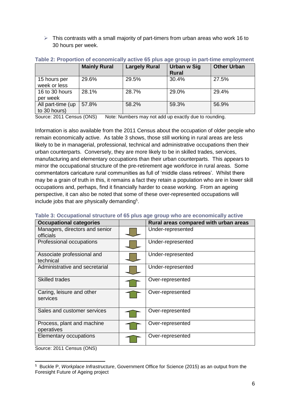$\triangleright$  This contrasts with a small majority of part-timers from urban areas who work 16 to 30 hours per week.

|                                   | <b>Mainly Rural</b> | <b>Largely Rural</b> | Urban w Sig<br><b>Rural</b> | <b>Other Urban</b> |
|-----------------------------------|---------------------|----------------------|-----------------------------|--------------------|
| 15 hours per<br>week or less      | 29.6%               | 29.5%                | 30.4%                       | 27.5%              |
| 16 to 30 hours<br>per week        | 28.1%               | 28.7%                | 29.0%                       | 29.4%              |
| All part-time (up<br>to 30 hours) | 57.8%               | 58.2%                | 59.3%                       | 56.9%              |

#### **Table 2: Proportion of economically active 65 plus age group in part-time employment**

Source: 2011 Census (ONS) Note: Numbers may not add up exactly due to rounding.

Information is also available from the 2011 Census about the occupation of older people who remain economically active. As table 3 shows, those still working in rural areas are less likely to be in managerial, professional, technical and administrative occupations then their urban counterparts. Conversely, they are more likely to be in skilled trades, services, manufacturing and elementary occupations than their urban counterparts. This appears to mirror the occupational structure of the pre-retirement age workforce in rural areas. Some commentators caricature rural communities as full of 'middle class retirees'. Whilst there may be a grain of truth in this, it remains a fact they retain a population who are in lower skill occupations and, perhaps, find it financially harder to cease working. From an ageing perspective, it can also be noted that some of these over-represented occupations will include jobs that are physically demanding<sup>5</sup>.

| <b>Occupational categories</b>              | Rural areas compared with urban areas |
|---------------------------------------------|---------------------------------------|
| Managers, directors and senior<br>officials | Under-represented                     |
| Professional occupations                    | Under-represented                     |
| Associate professional and<br>technical     | Under-represented                     |
| Administrative and secretarial              | Under-represented                     |
| <b>Skilled trades</b>                       | Over-represented                      |
| Caring, leisure and other<br>services       | Over-represented                      |
| Sales and customer services                 | Over-represented                      |
| Process, plant and machine<br>operatives    | Over-represented                      |
| <b>Elementary occupations</b>               | Over-represented                      |

#### **Table 3: Occupational structure of 65 plus age group who are economically active**

Source: 2011 Census (ONS)

-

<sup>5</sup> Buckle P, *Workplace Infrastructure*, Government Office for Science (2015) as an output from the Foresight Future of Ageing project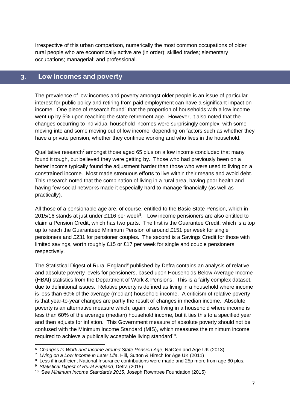Irrespective of this urban comparison, numerically the most common occupations of older rural people who are economically active are (in order): skilled trades; elementary occupations; managerial; and professional.

#### **3. Low incomes and poverty 3. Low incomes and poverty**

The prevalence of low incomes and poverty amongst older people is an issue of particular interest for public policy and retiring from paid employment can have a significant impact on income. One piece of research found<sup>6</sup> that the proportion of households with a low income went up by 5% upon reaching the state retirement age. However, it also noted that the changes occurring to individual household incomes were surprisingly complex, with some moving into and some moving out of low income, depending on factors such as whether they have a private pension, whether they continue working and who lives in the household.

Qualitative research<sup>7</sup> amongst those aged 65 plus on a low income concluded that many found it tough, but believed they were getting by. Those who had previously been on a better income typically found the adjustment harder than those who were used to living on a constrained income. Most made strenuous efforts to live within their means and avoid debt. This research noted that the combination of living in a rural area, having poor health and having few social networks made it especially hard to manage financially (as well as practically).

All those of a pensionable age are, of course, entitled to the Basic State Pension, which in 2015/16 stands at just under £116 per week $8$ . Low income pensioners are also entitled to claim a Pension Credit, which has two parts. The first is the Guarantee Credit, which is a top up to reach the Guaranteed Minimum Pension of around £151 per week for single pensioners and £231 for pensioner couples. The second is a Savings Credit for those with limited savings, worth roughly £15 or £17 per week for single and couple pensioners respectively.

The Statistical Digest of Rural England $9$  published by Defra contains an analysis of relative and absolute poverty levels for pensioners, based upon Households Below Average Income (HBAI) statistics from the Department of Work & Pensions. This is a fairly complex dataset, due to definitional issues. Relative poverty is defined as living in a household where income is less than 60% of the average (median) household income. A criticism of relative poverty is that year-to-year changes are partly the result of changes in median income. Absolute poverty is an alternative measure which, again, uses living in a household where income is less than 60% of the average (median) household income, but it ties this to a specified year and then adjusts for inflation. This Government measure of absolute poverty should not be confused with the Minimum Income Standard (MIS), which measures the minimum income required to achieve a publically acceptable living standard<sup>10</sup>.

-

<sup>6</sup> *Changes to Work and Income around State Pension Age*, NatCen and Age UK (2013)

<sup>7</sup> *Living on a Low Income in Later Life*, Hill, Sutton & Hirsch for Age UK (2011)

<sup>&</sup>lt;sup>8</sup> Less if insufficient National Insurance contributions were made and 25p more from age 80 plus.

<sup>9</sup> *Statistical Digest of Rural England*, Defra (2015)

<sup>10</sup> See *Minimum Income Standards 2015*, Joseph Rowntree Foundation (2015)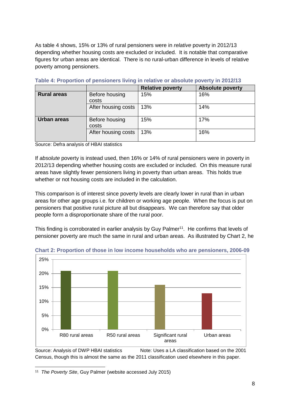As table 4 shows, 15% or 13% of rural pensioners were in *relative* poverty in 2012/13 depending whether housing costs are excluded or included. It is notable that comparative figures for urban areas are identical. There is no rural-urban difference in levels of relative poverty among pensioners.

|                    |                         | <b>Relative poverty</b> | <b>Absolute poverty</b> |
|--------------------|-------------------------|-------------------------|-------------------------|
| <b>Rural areas</b> | Before housing<br>costs | 15%                     | 16%                     |
|                    | After housing costs     | 13%                     | 14%                     |
| <b>Urban areas</b> | Before housing<br>costs | 15%                     | 17%                     |
|                    | After housing costs     | 13%                     | 16%                     |

**Table 4: Proportion of pensioners living in relative or absolute poverty in 2012/13**

Source: Defra analysis of HBAI statistics

If *absolute* poverty is instead used, then 16% or 14% of rural pensioners were in poverty in 2012/13 depending whether housing costs are excluded or included. On this measure rural areas have slightly fewer pensioners living in poverty than urban areas. This holds true whether or not housing costs are included in the calculation.

This comparison is of interest since poverty levels are clearly lower in rural than in urban areas for other age groups i.e. for children or working age people. When the focus is put on pensioners that positive rural picture all but disappears. We can therefore say that older people form a disproportionate share of the rural poor.

This finding is corroborated in earlier analysis by Guy Palmer<sup>11</sup>. He confirms that levels of pensioner poverty are much the same in rural and urban areas. As illustrated by Chart 2, he



**Chart 2: Proportion of those in low income households who are pensioners, 2006-09**

Source: Analysis of DWP HBAI statistics Note: Uses a LA classification based on the 2001 Census, though this is almost the same as the 2011 classification used elsewhere in this paper.

-11 *The Poverty Site*, Guy Palmer (website accessed July 2015)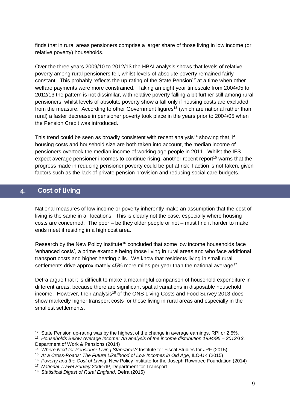finds that in rural areas pensioners comprise a larger share of those living in low income (or relative poverty) households.

Over the three years 2009/10 to 2012/13 the HBAI analysis shows that levels of relative poverty among rural pensioners fell, whilst levels of absolute poverty remained fairly constant. This probably reflects the up-rating of the State Pension<sup>12</sup> at a time when other welfare payments were more constrained. Taking an eight year timescale from 2004/05 to 2012/13 the pattern is not dissimilar, with relative poverty falling a bit further still among rural pensioners, whilst levels of absolute poverty show a fall only if housing costs are excluded from the measure. According to other Government figures<sup>13</sup> (which are national rather than rural) a faster decrease in pensioner poverty took place in the years prior to 2004/05 when the Pension Credit was introduced.

This trend could be seen as broadly consistent with recent analysis<sup>14</sup> showing that, if housing costs and household size are both taken into account, the median income of pensioners overtook the median income of working age people in 2011. Whilst the IFS expect average pensioner incomes to continue rising, another recent report<sup>15</sup> warns that the progress made in reducing pensioner poverty could be put at risk if action is not taken, given factors such as the lack of private pension provision and reducing social care budgets.

# **4. Cost of living 4. Cost of living**

-

National measures of low income or poverty inherently make an assumption that the cost of living is the same in all locations. This is clearly not the case, especially where housing costs are concerned. The poor – be they older people or not – must find it harder to make ends meet if residing in a high cost area.

Research by the New Policy Institute<sup>16</sup> concluded that some low income households face 'enhanced costs', a prime example being those living in rural areas and who face additional transport costs and higher heating bills. We know that residents living in small rural settlements drive approximately 45% more miles per year than the national average<sup>17</sup>.

Defra argue that it is difficult to make a meaningful comparison of household expenditure in different areas, because there are significant spatial variations in disposable household income. However, their analysis<sup>18</sup> of the ONS Living Costs and Food Survey 2013 does show markedly higher transport costs for those living in rural areas and especially in the smallest settlements.

<sup>&</sup>lt;sup>12</sup> State Pension up-rating was by the highest of the change in average earnings, RPI or 2.5%.

<sup>13</sup> *Households Below Average Income: An analysis of the income distribution 1994/95 – 2012/13*, Department of Work & Pensions (2014)

<sup>14</sup> *Where Next for Pensioner Living Standards?* Institute for Fiscal Studies for JRF (2015)

<sup>15</sup> *At a Cross-Roads: The Future Likelihood of Low Incomes in Old Age*, ILC-UK (2015)

<sup>16</sup> *Poverty and the Cost of Living*, New Policy Institute for the Joseph Rowntree Foundation (2014)

<sup>17</sup> *National Travel Survey 2006-09*, Department for Transport

<sup>18</sup> *Statistical Digest of Rural England*, Defra (2015)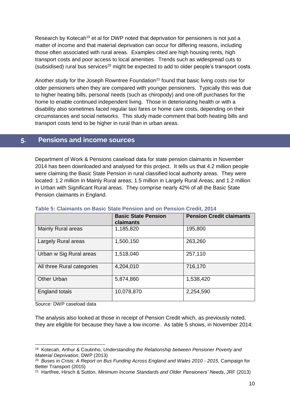Research by Kotecah<sup>19</sup> et al for DWP noted that deprivation for pensioners is not just a matter of income and that material deprivation can occur for differing reasons, including those often associated with rural areas. Examples cited are high housing rents, high transport costs and poor access to local amenities. Trends such as widespread cuts to (subsidised) rural bus services<sup>20</sup> might be expected to add to older people's transport costs.

Another study for the Joseph Rowntree Foundation<sup>21</sup> found that basic living costs rise for older pensioners when they are compared with younger pensioners. Typically this was due to higher heating bills, personal needs (such as chiropody) and one-off purchases for the home to enable continued independent living. Those in deteriorating health or with a disability also sometimes faced regular taxi fares or home care costs, depending on their circumstances and social networks. This study made comment that both heating bills and transport costs tend to be higher in rural than in urban areas.

#### **5. Pensions and income sources 5. Pensions and income sources**

Department of Work & Pensions caseload data for state pension claimants in November 2014 has been downloaded and analysed for this project. It tells us that 4.2 million people were claiming the Basic State Pension in rural classified local authority areas. They were located: 1.2 million in Mainly Rural areas; 1.5 million in Largely Rural Areas; and 1.2 million in Urban with Significant Rural areas. They comprise nearly 42% of all the Basic State Pension claimants in England.

|                            | <b>Basic State Pension</b><br>claimants | <b>Pension Credit claimants</b> |
|----------------------------|-----------------------------------------|---------------------------------|
| Mainly Rural areas         | 1,185,820                               | 195,800                         |
| Largely Rural areas        | 1,500,150                               | 263,260                         |
| Urban w Sig Rural areas    | 1,518,040                               | 257,110                         |
| All three Rural categories | 4,204,010                               | 716,170                         |
| <b>Other Urban</b>         | 5,874,860                               | 1,538,420                       |
| England totals             | 10,078,870                              | 2,254,590                       |

#### **Table 5: Claimants on Basic State Pension and on Pension Credit, 2014**

Source: DWP caseload data

-

The analysis also looked at those in receipt of Pension Credit which, as previously noted, they are eligible for because they have a low income. As table 5 shows, in November 2014:

<sup>19</sup> Kotecah, Arthur & Coutinho, *Understanding the Relationship between Pensioner Poverty and Material Deprivation*, DWP (2013)

<sup>20</sup> *Buses in Crisis: A Report on Bus Funding Across England and Wales 2010 - 2015*, Campaign for Better Transport (2015)

<sup>21</sup> Hartfree, Hirsch & Sutton, *Minimum Income Standards and Older Pensioners' Needs*, JRF (2013)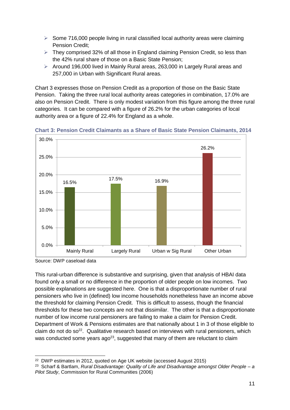- $\triangleright$  Some 716,000 people living in rural classified local authority areas were claiming Pension Credit;
- $\triangleright$  They comprised 32% of all those in England claiming Pension Credit, so less than the 42% rural share of those on a Basic State Pension;
- Around 196,000 lived in Mainly Rural areas, 263,000 in Largely Rural areas and 257,000 in Urban with Significant Rural areas.

Chart 3 expresses those on Pension Credit as a proportion of those on the Basic State Pension. Taking the three rural local authority areas categories in combination, 17.0% are also on Pension Credit. There is only modest variation from this figure among the three rural categories. It can be compared with a figure of 26.2% for the urban categories of local authority area or a figure of 22.4% for England as a whole.



**Chart 3: Pension Credit Claimants as a Share of Basic State Pension Claimants, 2014**

This rural-urban difference is substantive and surprising, given that analysis of HBAI data found only a small or no difference in the proportion of older people on low incomes. Two possible explanations are suggested here. One is that a disproportionate number of rural pensioners who live in (defined) low income households nonetheless have an income above the threshold for claiming Pension Credit. This is difficult to assess, though the financial thresholds for these two concepts are not that dissimilar. The other is that a disproportionate number of low income rural pensioners are failing to make a claim for Pension Credit. Department of Work & Pensions estimates are that nationally about 1 in 3 of those eligible to claim do not do  $so^{22}$ . Qualitative research based on interviews with rural pensioners, which was conducted some years ago<sup>23</sup>, suggested that many of them are reluctant to claim

Source: DWP caseload data

<sup>-</sup>22 DWP estimates in 2012, quoted on Age UK website (accessed August 2015)

<sup>23</sup> Scharf & Bartlam, *Rural Disadvantage: Quality of Life and Disadvantage amongst Older People – a Pilot Study*, Commission for Rural Communities (2006)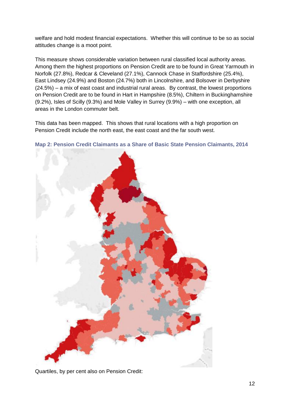welfare and hold modest financial expectations. Whether this will continue to be so as social attitudes change is a moot point.

This measure shows considerable variation between rural classified local authority areas. Among them the highest proportions on Pension Credit are to be found in Great Yarmouth in Norfolk (27.8%), Redcar & Cleveland (27.1%), Cannock Chase in Staffordshire (25.4%), East Lindsey (24.9%) and Boston (24.7%) both in Lincolnshire, and Bolsover in Derbyshire (24.5%) – a mix of east coast and industrial rural areas. By contrast, the lowest proportions on Pension Credit are to be found in Hart in Hampshire (8.5%), Chiltern in Buckinghamshire (9.2%), Isles of Scilly (9.3%) and Mole Valley in Surrey (9.9%) – with one exception, all areas in the London commuter belt.

This data has been mapped. This shows that rural locations with a high proportion on Pension Credit include the north east, the east coast and the far south west.



**Map 2: Pension Credit Claimants as a Share of Basic State Pension Claimants, 2014**

Quartiles, by per cent also on Pension Credit: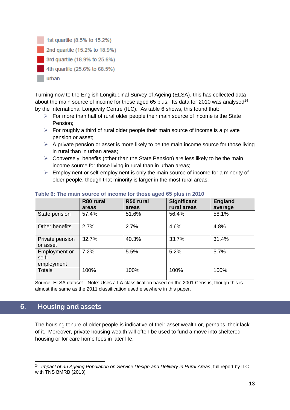

Turning now to the English Longitudinal Survey of Ageing (ELSA), this has collected data about the main source of income for those aged 65 plus. Its data for 2010 was analysed $^{24}$ by the International Longevity Centre (ILC). As table 6 shows, this found that:

- $\triangleright$  For more than half of rural older people their main source of income is the State Pension;
- $\triangleright$  For roughly a third of rural older people their main source of income is a private pension or asset;
- $\triangleright$  A private pension or asset is more likely to be the main income source for those living in rural than in urban areas;
- $\triangleright$  Conversely, benefits (other than the State Pension) are less likely to be the main income source for those living in rural than in urban areas;
- $\triangleright$  Employment or self-employment is only the main source of income for a minority of older people, though that minority is larger in the most rural areas.

|                                      | R80 rural<br>areas | R50 rural<br>areas | <b>Significant</b><br>rural areas | <b>England</b><br>average |
|--------------------------------------|--------------------|--------------------|-----------------------------------|---------------------------|
| State pension                        | 57.4%              | 51.6%              | 56.4%                             | 58.1%                     |
| Other benefits                       | 2.7%               | 2.7%               | 4.6%                              | 4.8%                      |
| Private pension<br>or asset          | 32.7%              | 40.3%              | 33.7%                             | 31.4%                     |
| Employment or<br>self-<br>employment | 7.2%               | 5.5%               | 5.2%                              | 5.7%                      |
| <b>Totals</b>                        | 100%               | 100%               | 100%                              | 100%                      |

### **Table 6: The main source of income for those aged 65 plus in 2010**

Source: ELSA dataset Note: Uses a LA classification based on the 2001 Census, though this is almost the same as the 2011 classification used elsewhere in this paper.

# **6. Housing and assets 6. Housing and assets**

The housing tenure of older people is indicative of their asset wealth or, perhaps, their lack of it. Moreover, private housing wealth will often be used to fund a move into sheltered housing or for care home fees in later life.

<sup>-</sup>24 *Impact of an Ageing Population on Service Design and Delivery in Rural Areas*, full report by ILC with TNS BMRB (2013)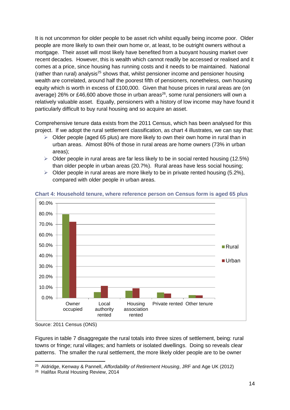It is not uncommon for older people to be asset rich whilst equally being income poor. Older people are more likely to own their own home or, at least, to be outright owners without a mortgage. Their asset will most likely have benefited from a buoyant housing market over recent decades. However, this is wealth which cannot readily be accessed or realised and it comes at a price, since housing has running costs and it needs to be maintained. National (rather than rural) analysis<sup>25</sup> shows that, whilst pensioner income and pensioner housing wealth are correlated, around half the poorest fifth of pensioners, nonetheless, own housing equity which is worth in excess of £100,000. Given that house prices in rural areas are (on average) 26% or £46,600 above those in urban areas<sup>26</sup>, some rural pensioners will own a relatively valuable asset. Equally, pensioners with a history of low income may have found it particularly difficult to buy rural housing and so acquire an asset.

Comprehensive tenure data exists from the 2011 Census, which has been analysed for this project. If we adopt the rural settlement classification, as chart 4 illustrates, we can say that:

- $\geq$  Older people (aged 65 plus) are more likely to own their own home in rural than in urban areas. Almost 80% of those in rural areas are home owners (73% in urban areas);
- $\triangleright$  Older people in rural areas are far less likely to be in social rented housing (12.5%) than older people in urban areas (20.7%). Rural areas have less social housing;
- $\triangleright$  Older people in rural areas are more likely to be in private rented housing (5.2%), compared with older people in urban areas.



**Chart 4: Household tenure, where reference person on Census form is aged 65 plus**

-

Figures in table 7 disaggregate the rural totals into three sizes of settlement, being: rural towns or fringe; rural villages; and hamlets or isolated dwellings. Doing so reveals clear patterns. The smaller the rural settlement, the more likely older people are to be owner

Source: 2011 Census (ONS)

<sup>25</sup> Aldridge, Kenway & Pannell, *Affordability of Retirement Housing*, JRF and Age UK (2012)

<sup>26</sup> Halifax Rural Housing Review, 2014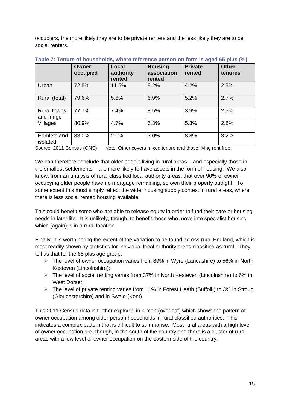occupiers, the more likely they are to be private renters and the less likely they are to be social renters.

|                                  | Owner<br>occupied | Local<br>authority<br>rented | <b>Housing</b><br>association<br>rented | <b>Private</b><br>rented | <b>Other</b><br>tenures |
|----------------------------------|-------------------|------------------------------|-----------------------------------------|--------------------------|-------------------------|
| Urban                            | 72.5%             | 11.5%                        | 9.2%                                    | 4.2%                     | 2.5%                    |
| Rural (total)                    | 79.6%             | 5.6%                         | 6.9%                                    | 5.2%                     | 2.7%                    |
| <b>Rural towns</b><br>and fringe | 77.7%             | 7.4%                         | 8.5%                                    | 3.9%                     | 2.5%                    |
| Villages                         | 80.9%             | 4.7%                         | 6.3%                                    | 5.3%                     | 2.8%                    |
| Hamlets and<br>isolated          | 83.0%             | 2.0%                         | 3.0%                                    | 8.8%                     | 3.2%                    |

|  | Table 7: Tenure of households, where reference person on form is aged 65 plus (%) |  |  |  |
|--|-----------------------------------------------------------------------------------|--|--|--|
|--|-----------------------------------------------------------------------------------|--|--|--|

Source: 2011 Census (ONS) Note: Other covers mixed tenure and those living rent free.

We can therefore conclude that older people living in rural areas – and especially those in the smallest settlements – are more likely to have assets in the form of housing. We also know, from an analysis of rural classified local authority areas, that over 90% of owner occupying older people have no mortgage remaining, so own their property outright. To some extent this must simply reflect the wider housing supply context in rural areas, where there is less social rented housing available.

This could benefit some who are able to release equity in order to fund their care or housing needs in later life. It is unlikely, though, to benefit those who move into specialist housing which (again) is in a rural location.

Finally, it is worth noting the extent of the variation to be found across rural England, which is most readily shown by statistics for individual local authority areas classified as rural. They tell us that for the 65 plus age group:

- $\triangleright$  The level of owner occupation varies from 89% in Wyre (Lancashire) to 56% in North Kesteven (Lincolnshire);
- $\triangleright$  The level of social renting varies from 37% in North Kesteven (Lincolnshire) to 6% in West Dorset;
- $\triangleright$  The level of private renting varies from 11% in Forest Heath (Suffolk) to 3% in Stroud (Gloucestershire) and in Swale (Kent).

This 2011 Census data is further explored in a map (overleaf) which shows the pattern of owner occupation among older person households in rural classified authorities. This indicates a complex pattern that is difficult to summarise. Most rural areas with a high level of owner occupation are, though, in the south of the country and there is a cluster of rural areas with a low level of owner occupation on the eastern side of the country.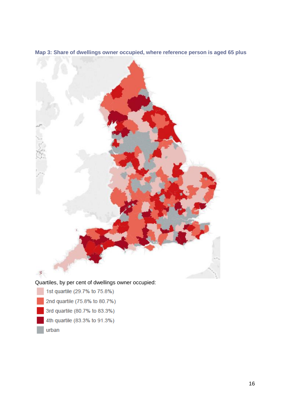

**Map 3: Share of dwellings owner occupied, where reference person is aged 65 plus**

urban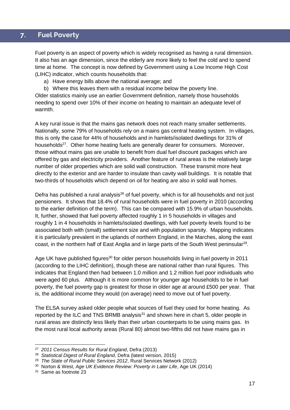# **7. Fuel poverty 7. Fuel Poverty**

Fuel poverty is an aspect of poverty which is widely recognised as having a rural dimension. It also has an age dimension, since the elderly are more likely to feel the cold and to spend time at home. The concept is now defined by Government using a Low Income High Cost (LIHC) indicator, which counts households that:

- a) Have energy bills above the national average; and
- b) Where this leaves them with a residual income below the poverty line.

Older statistics mainly use an earlier Government definition, namely those households needing to spend over 10% of their income on heating to maintain an adequate level of warmth.

A key rural issue is that the mains gas network does not reach many smaller settlements. Nationally, some 79% of households rely on a mains gas central heating system. In villages, this is only the case for 44% of households and in hamlets/isolated dwellings for 31% of households<sup>27</sup>. Other home heating fuels are generally dearer for consumers. Moreover, those without mains gas are unable to benefit from dual fuel discount packages which are offered by gas and electricity providers. Another feature of rural areas is the relatively large number of older properties which are solid wall construction. These transmit more heat directly to the exterior and are harder to insulate than cavity wall buildings. It is notable that two-thirds of households which depend on oil for heating are also in solid wall homes.

Defra has published a rural analysis<sup>28</sup> of fuel poverty, which is for all households and not just pensioners. It shows that 18.4% of rural households were in fuel poverty in 2010 (according to the earlier definition of the term). This can be compared with 15.9% of urban households. It, further, showed that fuel poverty affected roughly 1 in 5 households in villages and roughly 1 in 4 households in hamlets/isolated dwellings, with fuel poverty levels found to be associated both with (small) settlement size and with population sparsity. Mapping indicates it is particularly prevalent in the uplands of northern England, in the Marches, along the east coast, in the northern half of East Anglia and in large parts of the South West peninsular<sup>29</sup>.

Age UK have published figures<sup>30</sup> for older person households living in fuel poverty in 2011 (according to the LIHC definition), though these are national rather than rural figures. This indicates that England then had between 1.0 million and 1.2 million fuel poor individuals who were aged 60 plus. Although it is more common for younger age households to be in fuel poverty, the fuel poverty gap is greatest for those in older age at around £500 per year. That is, the additional income they would (on average) need to move out of fuel poverty.

The ELSA survey asked older people what sources of fuel they used for home heating. As reported by the ILC and TNS BRMB analysis $31$  and shown here in chart 5, older people in rural areas are distinctly less likely than their urban counterparts to be using mains gas. In the most rural local authority areas (Rural 80) almost two-fifths did not have mains gas in

<sup>27</sup> *2011 Census Results for Rural England*, Defra (2013)

<sup>28</sup> *Statistical Digest of Rural England*, Defra (latest version, 2015)

<sup>29</sup> *The State of Rural Public Services 2012*, Rural Services Network (2012)

<sup>30</sup> Norton & West, *Age UK Evidence Review: Poverty in Later Life*, Age UK (2014)

<sup>31</sup> Same as footnote 23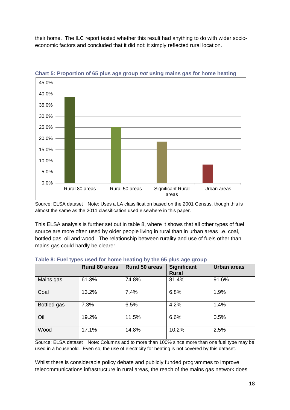their home. The ILC report tested whether this result had anything to do with wider socioeconomic factors and concluded that it did not: it simply reflected rural location.



**Chart 5: Proportion of 65 plus age group** *not* **using mains gas for home heating**

Source: ELSA dataset Note: Uses a LA classification based on the 2001 Census, though this is almost the same as the 2011 classification used elsewhere in this paper.

This ELSA analysis is further set out in table 8, where it shows that all other types of fuel source are more often used by older people living in rural than in urban areas i.e. coal, bottled gas, oil and wood. The relationship between rurality and use of fuels other than mains gas could hardly be clearer.

|             | <b>Rural 80 areas</b> | <b>Rural 50 areas</b> | <b>Significant</b><br><b>Rural</b> | <b>Urban areas</b> |
|-------------|-----------------------|-----------------------|------------------------------------|--------------------|
| Mains gas   | 61.3%                 | 74.8%                 | 81.4%                              | 91.6%              |
| Coal        | 13.2%                 | 7.4%                  | 6.8%                               | 1.9%               |
| Bottled gas | 7.3%                  | 6.5%                  | 4.2%                               | 1.4%               |
| Oil         | 19.2%                 | 11.5%                 | 6.6%                               | 0.5%               |
| Wood        | 17.1%                 | 14.8%                 | 10.2%                              | 2.5%               |

|  |  |  | Table 8: Fuel types used for home heating by the 65 plus age group |  |  |  |
|--|--|--|--------------------------------------------------------------------|--|--|--|
|  |  |  |                                                                    |  |  |  |

Source: ELSA dataset Note: Columns add to more than 100% since more than one fuel type may be used in a household. Even so, the use of electricity for heating is not covered by this dataset.

Whilst there is considerable policy debate and publicly funded programmes to improve telecommunications infrastructure in rural areas, the reach of the mains gas network does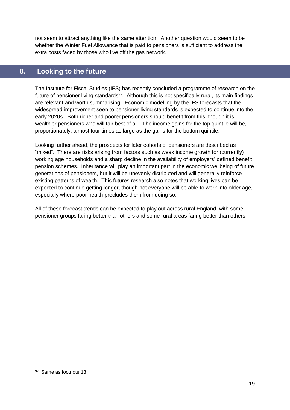not seem to attract anything like the same attention. Another question would seem to be whether the Winter Fuel Allowance that is paid to pensioners is sufficient to address the extra costs faced by those who live off the gas network.

# **8. Looking to the future 8. Looking to the future**

The Institute for Fiscal Studies (IFS) has recently concluded a programme of research on the future of pensioner living standards<sup>32</sup>. Although this is not specifically rural, its main findings are relevant and worth summarising. Economic modelling by the IFS forecasts that the widespread improvement seen to pensioner living standards is expected to continue into the early 2020s. Both richer and poorer pensioners should benefit from this, though it is wealthier pensioners who will fair best of all. The income gains for the top quintile will be, proportionately, almost four times as large as the gains for the bottom quintile.

Looking further ahead, the prospects for later cohorts of pensioners are described as "mixed". There are risks arising from factors such as weak income growth for (currently) working age households and a sharp decline in the availability of employers' defined benefit pension schemes. Inheritance will play an important part in the economic wellbeing of future generations of pensioners, but it will be unevenly distributed and will generally reinforce existing patterns of wealth. This futures research also notes that working lives can be expected to continue getting longer, though not everyone will be able to work into older age, especially where poor health precludes them from doing so.

All of these forecast trends can be expected to play out across rural England, with some pensioner groups faring better than others and some rural areas faring better than others.

<sup>-</sup>32 Same as footnote 13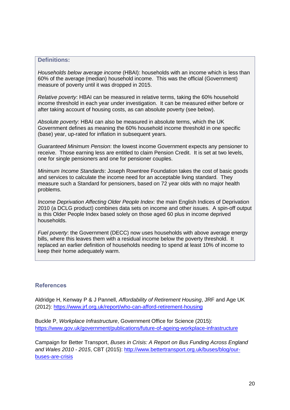#### **Definitions:**

*Households below average income* (HBAI): households with an income which is less than 60% of the average (median) household income. This was the official (Government) measure of poverty until it was dropped in 2015.

*Relative poverty*: HBAI can be measured in relative terms, taking the 60% household income threshold in each year under investigation. It can be measured either before or after taking account of housing costs, as can absolute poverty (see below).

*Absolute poverty*: HBAI can also be measured in absolute terms, which the UK Government defines as meaning the 60% household income threshold in one specific (base) year, up-rated for inflation in subsequent years.

*Guaranteed Minimum Pension*: the lowest income Government expects any pensioner to receive. Those earning less are entitled to claim Pension Credit. It is set at two levels, one for single pensioners and one for pensioner couples.

*Minimum Income Standards*: Joseph Rowntree Foundation takes the cost of basic goods and services to calculate the income need for an acceptable living standard. They measure such a Standard for pensioners, based on 72 year olds with no major health problems.

*Income Deprivation Affecting Older People Index*: the main English Indices of Deprivation 2010 (a DCLG product) combines data sets on income and other issues. A spin-off output is this Older People Index based solely on those aged 60 plus in income deprived households.

*Fuel poverty*: the Government (DECC) now uses households with above average energy bills, where this leaves them with a residual income below the poverty threshold. It replaced an earlier definition of households needing to spend at least 10% of income to keep their home adequately warm.

### **References**

Aldridge H, Kenway P & J Pannell, *Affordability of Retirement Housing*, JRF and Age UK (2012):<https://www.jrf.org.uk/report/who-can-afford-retirement-housing>

Buckle P, *Workplace Infrastructure*, Government Office for Science (2015): <https://www.gov.uk/government/publications/future-of-ageing-workplace-infrastructure>

Campaign for Better Transport, *Buses in Crisis: A Report on Bus Funding Across England and Wales 2010 - 2015*, CBT (2015): [http://www.bettertransport.org.uk/buses/blog/our](http://www.bettertransport.org.uk/buses/blog/our-buses-are-crisis)[buses-are-crisis](http://www.bettertransport.org.uk/buses/blog/our-buses-are-crisis)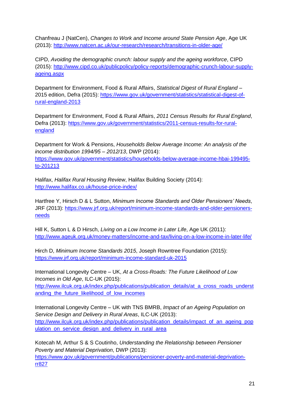Chanfreau J (NatCen), *Changes to Work and Income around State Pension Age*, Age UK (2013):<http://www.natcen.ac.uk/our-research/research/transitions-in-older-age/>

CIPD, *Avoiding the demographic crunch: labour supply and the ageing workforce*, CIPD (2015): [http://www.cipd.co.uk/publicpolicy/policy-reports/demographic-crunch-labour-supply](http://www.cipd.co.uk/publicpolicy/policy-reports/demographic-crunch-labour-supply-ageing.aspx)[ageing.aspx](http://www.cipd.co.uk/publicpolicy/policy-reports/demographic-crunch-labour-supply-ageing.aspx) 

Department for Environment, Food & Rural Affairs, *Statistical Digest of Rural England* – 2015 edition, Defra (2015): [https://www.gov.uk/government/statistics/statistical-digest-of](https://www.gov.uk/government/statistics/statistical-digest-of-rural-england-2013)[rural-england-2013](https://www.gov.uk/government/statistics/statistical-digest-of-rural-england-2013) 

Department for Environment, Food & Rural Affairs, *2011 Census Results for Rural England*, Defra (2013): [https://www.gov.uk/government/statistics/2011-census-results-for-rural](https://www.gov.uk/government/statistics/2011-census-results-for-rural-england)[england](https://www.gov.uk/government/statistics/2011-census-results-for-rural-england) 

Department for Work & Pensions, *Households Below Average Income: An analysis of the income distribution 1994/95 – 2012/13*, DWP (2014): [https://www.gov.uk/government/statistics/households-below-average-income-hbai-199495](https://www.gov.uk/government/statistics/households-below-average-income-hbai-199495-to-201213) [to-201213](https://www.gov.uk/government/statistics/households-below-average-income-hbai-199495-to-201213) 

Halifax, *Halifax Rural Housing Review*, Halifax Building Society (2014): <http://www.halifax.co.uk/house-price-index/>

Hartfree Y, Hirsch D & L Sutton, *Minimum Income Standards and Older Pensioners' Needs*, JRF (2013): [https://www.jrf.org.uk/report/minimum-income-standards-and-older-pensioners](https://www.jrf.org.uk/report/minimum-income-standards-and-older-pensioners-needs)[needs](https://www.jrf.org.uk/report/minimum-income-standards-and-older-pensioners-needs) 

Hill K, Sutton L & D Hirsch, *Living on a Low Income in Later Life*, Age UK (2011): <http://www.ageuk.org.uk/money-matters/income-and-tax/living-on-a-low-income-in-later-life/>

Hirch D, *Minimum Income Standards 2015*, Joseph Rowntree Foundation (2015): <https://www.jrf.org.uk/report/minimum-income-standard-uk-2015>

International Longevity Centre – UK, *At a Cross-Roads: The Future Likelihood of Low Incomes in Old Age*, ILC-UK (2015):

[http://www.ilcuk.org.uk/index.php/publications/publication\\_details/at\\_a\\_cross\\_roads\\_underst](http://www.ilcuk.org.uk/index.php/publications/publication_details/at_a_cross_roads_understanding_the_future_likelihood_of_low_incomes) anding the future likelihood of low incomes

International Longevity Centre – UK with TNS BMRB, *Impact of an Ageing Population on Service Design and Delivery in Rural Areas*, ILC-UK (2013): [http://www.ilcuk.org.uk/index.php/publications/publication\\_details/impact\\_of\\_an\\_ageing\\_pop](http://www.ilcuk.org.uk/index.php/publications/publication_details/impact_of_an_ageing_population_on_service_design_and_delivery_in_rural_area) ulation on service design and delivery in rural area

Kotecah M, Arthur S & S Coutinho, *Understanding the Relationship between Pensioner Poverty and Material Deprivation*, DWP (2013): [https://www.gov.uk/government/publications/pensioner-poverty-and-material-deprivation](https://www.gov.uk/government/publications/pensioner-poverty-and-material-deprivation-rr827)[rr827](https://www.gov.uk/government/publications/pensioner-poverty-and-material-deprivation-rr827)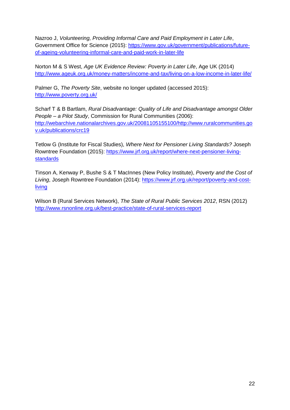Nazroo J, *Volunteering, Providing Informal Care and Paid Employment in Later Life*, Government Office for Science (2015): [https://www.gov.uk/government/publications/future](https://www.gov.uk/government/publications/future-of-ageing-volunteering-informal-care-and-paid-work-in-later-life)[of-ageing-volunteering-informal-care-and-paid-work-in-later-life](https://www.gov.uk/government/publications/future-of-ageing-volunteering-informal-care-and-paid-work-in-later-life) 

Norton M & S West, *Age UK Evidence Review: Poverty in Later Life*, Age UK (2014) <http://www.ageuk.org.uk/money-matters/income-and-tax/living-on-a-low-income-in-later-life/>

Palmer G, *The Poverty Site*, website no longer updated (accessed 2015): <http://www.poverty.org.uk/>

Scharf T & B Bartlam, *Rural Disadvantage: Quality of Life and Disadvantage amongst Older People – a Pilot Study*, Commission for Rural Communities (2006): [http://webarchive.nationalarchives.gov.uk/20081105155100/http://www.ruralcommunities.go](http://webarchive.nationalarchives.gov.uk/20081105155100/http:/www.ruralcommunities.gov.uk/publications/crc19) [v.uk/publications/crc19](http://webarchive.nationalarchives.gov.uk/20081105155100/http:/www.ruralcommunities.gov.uk/publications/crc19)

Tetlow G (Institute for Fiscal Studies), *Where Next for Pensioner Living Standards?* Joseph Rowntree Foundation (2015): [https://www.jrf.org.uk/report/where-next-pensioner-living](https://www.jrf.org.uk/report/where-next-pensioner-living-standards)[standards](https://www.jrf.org.uk/report/where-next-pensioner-living-standards)

Tinson A, Kenway P, Bushe S & T MacInnes (New Policy Institute), *Poverty and the Cost of Living*, Joseph Rowntree Foundation (2014): [https://www.jrf.org.uk/report/poverty-and-cost](https://www.jrf.org.uk/report/poverty-and-cost-living)[living](https://www.jrf.org.uk/report/poverty-and-cost-living) 

Wilson B (Rural Services Network), *The State of Rural Public Services 2012*, RSN (2012) <http://www.rsnonline.org.uk/best-practice/state-of-rural-services-report>